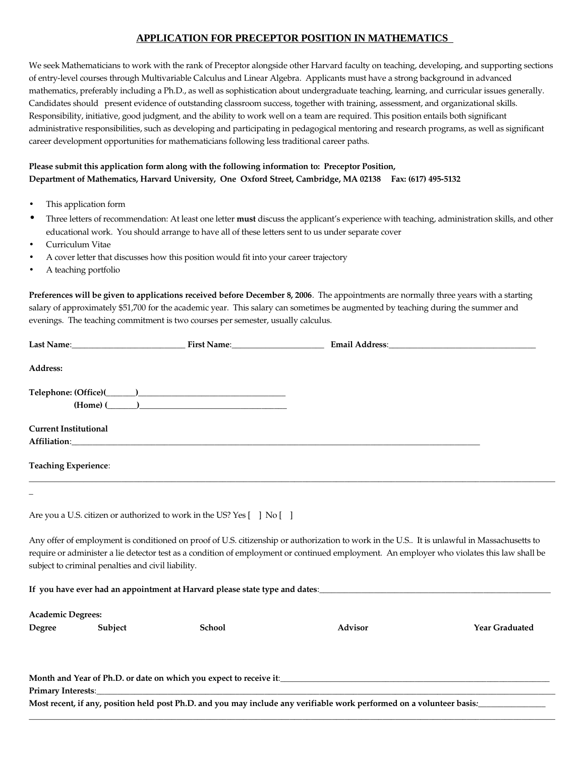## **APPLICATION FOR PRECEPTOR POSITION IN MATHEMATICS**

We seek Mathematicians to work with the rank of Preceptor alongside other Harvard faculty on teaching, developing, and supporting sections of entrylevel courses through Multivariable Calculus and Linear Algebra. Applicants must have a strong background in advanced mathematics, preferably including a Ph.D., as well as sophistication about undergraduate teaching, learning, and curricular issues generally. Candidates should present evidence of outstanding classroom success, together with training, assessment, and organizational skills. Responsibility, initiative, good judgment, and the ability to work well on a team are required. This position entails both significant administrative responsibilities, such as developing and participating in pedagogical mentoring and research programs, as well as significant career development opportunities for mathematicians following less traditional career paths.

## **Please submit this application form along with the following information to: Preceptor Position, Department of Mathematics, Harvard University, One Oxford Street, Cambridge, MA 02138 Fax: (617) 4955132**

- This application form
- Three letters of recommendation: At least one letter **must** discuss the applicant's experience with teaching, administration skills, and other educational work. You should arrange to have all of these letters sent to us under separate cover
- Curriculum Vitae
- A cover letter that discusses how this position would fit into your career trajectory
- A teaching portfolio

**Preferences will be given to applications received before December 8, 2006**. The appointments are normally three years with a starting salary of approximately \$51,700 for the academic year. This salary can sometimes be augmented by teaching during the summer and evenings. The teaching commitment is two courses per semester, usually calculus.

| Address:                     |                                                    |                                                                                                                                                                                                                                |                                                                                                                                                                                                                                                                                          |                       |
|------------------------------|----------------------------------------------------|--------------------------------------------------------------------------------------------------------------------------------------------------------------------------------------------------------------------------------|------------------------------------------------------------------------------------------------------------------------------------------------------------------------------------------------------------------------------------------------------------------------------------------|-----------------------|
|                              |                                                    | $(Home)$ ( $\qquad$ )                                                                                                                                                                                                          |                                                                                                                                                                                                                                                                                          |                       |
| <b>Current Institutional</b> |                                                    | Affiliation: Altitude Affiliation and the contract of the contract of the contract of the contract of the contract of the contract of the contract of the contract of the contract of the contract of the contract of the cont |                                                                                                                                                                                                                                                                                          |                       |
| <b>Teaching Experience:</b>  |                                                    |                                                                                                                                                                                                                                |                                                                                                                                                                                                                                                                                          |                       |
|                              |                                                    |                                                                                                                                                                                                                                |                                                                                                                                                                                                                                                                                          |                       |
|                              |                                                    | Are you a U.S. citizen or authorized to work in the US? Yes [ ] No [ ]                                                                                                                                                         |                                                                                                                                                                                                                                                                                          |                       |
|                              | subject to criminal penalties and civil liability. |                                                                                                                                                                                                                                | Any offer of employment is conditioned on proof of U.S. citizenship or authorization to work in the U.S It is unlawful in Massachusetts to<br>require or administer a lie detector test as a condition of employment or continued employment. An employer who violates this law shall be |                       |
|                              |                                                    |                                                                                                                                                                                                                                |                                                                                                                                                                                                                                                                                          |                       |
| <b>Academic Degrees:</b>     |                                                    |                                                                                                                                                                                                                                |                                                                                                                                                                                                                                                                                          |                       |
| Degree                       | Subject                                            | <b>School</b>                                                                                                                                                                                                                  | Advisor                                                                                                                                                                                                                                                                                  | <b>Year Graduated</b> |
|                              |                                                    |                                                                                                                                                                                                                                |                                                                                                                                                                                                                                                                                          |                       |
|                              |                                                    |                                                                                                                                                                                                                                | Most recent, if any, position held post Ph.D. and you may include any verifiable work performed on a volunteer basis:                                                                                                                                                                    |                       |

 $\_$  ,  $\_$  ,  $\_$  ,  $\_$  ,  $\_$  ,  $\_$  ,  $\_$  ,  $\_$  ,  $\_$  ,  $\_$  ,  $\_$  ,  $\_$  ,  $\_$  ,  $\_$  ,  $\_$  ,  $\_$  ,  $\_$  ,  $\_$  ,  $\_$  ,  $\_$  ,  $\_$  ,  $\_$  ,  $\_$  ,  $\_$  ,  $\_$  ,  $\_$  ,  $\_$  ,  $\_$  ,  $\_$  ,  $\_$  ,  $\_$  ,  $\_$  ,  $\_$  ,  $\_$  ,  $\_$  ,  $\_$  ,  $\_$  ,